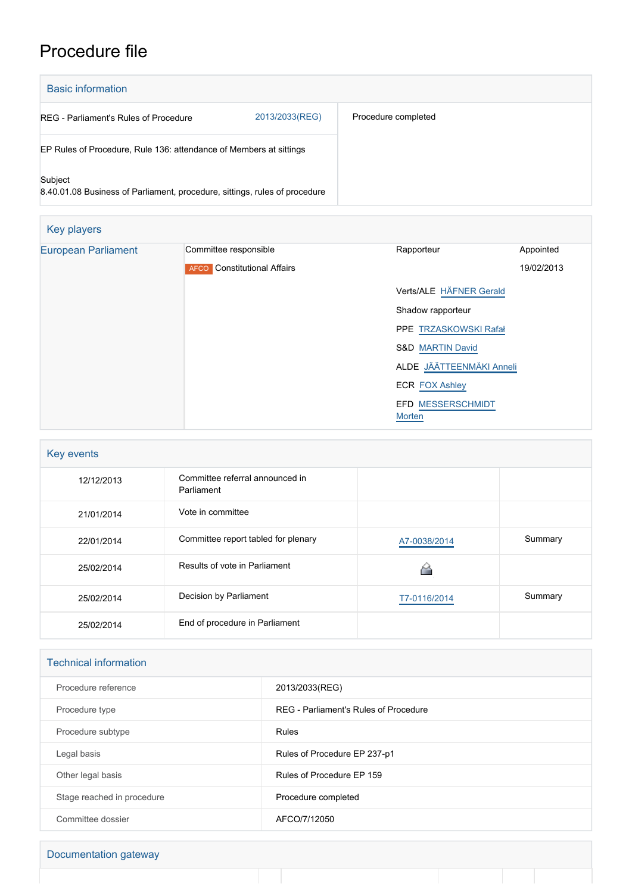## Procedure file

| <b>Basic information</b>                                                              |                |                     |  |  |
|---------------------------------------------------------------------------------------|----------------|---------------------|--|--|
| REG - Parliament's Rules of Procedure                                                 | 2013/2033(REG) | Procedure completed |  |  |
| EP Rules of Procedure, Rule 136: attendance of Members at sittings                    |                |                     |  |  |
| Subject<br>8.40.01.08 Business of Parliament, procedure, sittings, rules of procedure |                |                     |  |  |

| Key players                |                                              |                                    |            |
|----------------------------|----------------------------------------------|------------------------------------|------------|
| <b>European Parliament</b> | Committee responsible                        | Rapporteur                         | Appointed  |
|                            | <b>Constitutional Affairs</b><br><b>AFCO</b> |                                    | 19/02/2013 |
|                            |                                              | Verts/ALE HÄFNER Gerald            |            |
|                            |                                              | Shadow rapporteur                  |            |
|                            |                                              | PPE TRZASKOWSKI Rafał              |            |
|                            |                                              | <b>S&amp;D MARTIN David</b>        |            |
|                            |                                              | ALDE JÄÄTTEENMÄKI Anneli           |            |
|                            |                                              | <b>ECR FOX Ashley</b>              |            |
|                            |                                              | <b>EFD MESSERSCHMIDT</b><br>Morten |            |

| Key events |                                               |              |         |  |
|------------|-----------------------------------------------|--------------|---------|--|
| 12/12/2013 | Committee referral announced in<br>Parliament |              |         |  |
| 21/01/2014 | Vote in committee                             |              |         |  |
| 22/01/2014 | Committee report tabled for plenary           | A7-0038/2014 | Summary |  |
| 25/02/2014 | Results of vote in Parliament                 |              |         |  |
| 25/02/2014 | Decision by Parliament                        | T7-0116/2014 | Summary |  |
| 25/02/2014 | End of procedure in Parliament                |              |         |  |

| <b>Technical information</b> |                                       |  |
|------------------------------|---------------------------------------|--|
| Procedure reference          | 2013/2033(REG)                        |  |
| Procedure type               | REG - Parliament's Rules of Procedure |  |
| Procedure subtype            | <b>Rules</b>                          |  |
| Legal basis                  | Rules of Procedure EP 237-p1          |  |
| Other legal basis            | Rules of Procedure EP 159             |  |
| Stage reached in procedure   | Procedure completed                   |  |
| Committee dossier            | AFCO/7/12050                          |  |

Documentation gateway